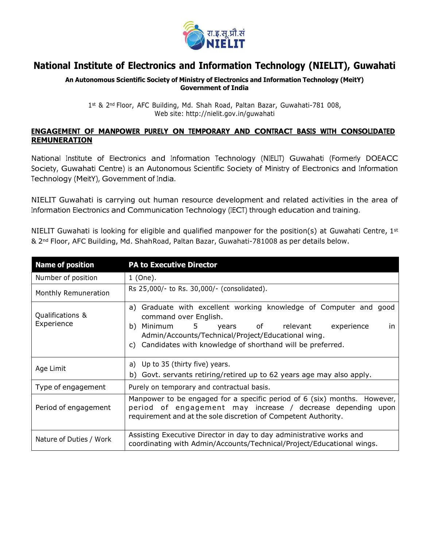

## **National Institute of Electronics and Information Technology (NIELIT), Guwahati**

## **An Autonomous Scientific Society of Ministry of Electronics and Information Technology (MeitY) Government of India**

1st & 2nd Floor, AFC Building, Md. Shah Road, Paltan Bazar, Guwahati-781 008, Web site: <http://nielit.gov.in/guwahati>

## **ENGAGEMENT OF MANPOWER PURELY ON TEMPORARY AND CONTRACT BASIS WITH CONSOLIDATED REMUNERATION**

National Institute of Electronics and Information Technology (NIELIT) Guwahati (Formerly DOEACC Society, Guwahati Centre) is an Autonomous Scientific Society of Ministry of Electronics and Information Technology (MeitY), Government of India.

NIELIT Guwahati is carrying out human resource development and related activities in the area of Information Electronics and Communication Technology (IECT) through education and training.

NIELIT Guwahati is looking for eligible and qualified manpower for the position(s) at Guwahati Centre, 1st & 2nd Floor, AFC Building, Md. ShahRoad, Paltan Bazar, Guwahati-781008 as per details below.

| <b>Name of position</b>        | <b>PA to Executive Director</b>                                                                                                                                                                                                                                         |
|--------------------------------|-------------------------------------------------------------------------------------------------------------------------------------------------------------------------------------------------------------------------------------------------------------------------|
| Number of position             | 1 (One).                                                                                                                                                                                                                                                                |
| Monthly Remuneration           | Rs 25,000/- to Rs. 30,000/- (consolidated).                                                                                                                                                                                                                             |
| Qualifications &<br>Experience | a) Graduate with excellent working knowledge of Computer and good<br>command over English.<br>Minimum 5 years of relevant experience<br>b)<br>in.<br>Admin/Accounts/Technical/Project/Educational wing.<br>c) Candidates with knowledge of shorthand will be preferred. |
| Age Limit                      | a) Up to 35 (thirty five) years.<br>Govt. servants retiring/retired up to 62 years age may also apply.<br>b)                                                                                                                                                            |
| Type of engagement             | Purely on temporary and contractual basis.                                                                                                                                                                                                                              |
| Period of engagement           | Manpower to be engaged for a specific period of 6 (six) months. However,<br>period of engagement may increase / decrease depending upon<br>requirement and at the sole discretion of Competent Authority.                                                               |
| Nature of Duties / Work        | Assisting Executive Director in day to day administrative works and<br>coordinating with Admin/Accounts/Technical/Project/Educational wings.                                                                                                                            |